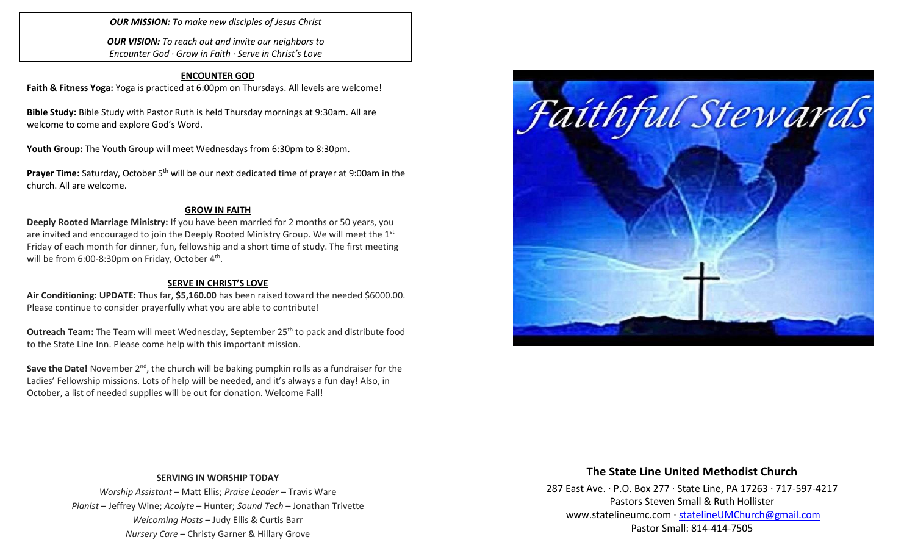*OUR MISSION: To make new disciples of Jesus Christ*

*OUR VISION: To reach out and invite our neighbors to Encounter God · Grow in Faith · Serve in Christ's Love*

### **ENCOUNTER GOD**

**Faith & Fitness Yoga:** Yoga is practiced at 6:00pm on Thursdays. All levels are welcome!

**Bible Study:** Bible Study with Pastor Ruth is held Thursday mornings at 9:30am. All are welcome to come and explore God's Word.

Youth Group: The Youth Group will meet Wednesdays from 6:30pm to 8:30pm.

**Prayer Time:** Saturday, October 5<sup>th</sup> will be our next dedicated time of prayer at 9:00am in the church. All are welcome.

### **GROW IN FAITH**

**Deeply Rooted Marriage Ministry:** If you have been married for 2 months or 50 years, you are invited and encouraged to join the Deeply Rooted Ministry Group. We will meet the  $1<sup>st</sup>$ Friday of each month for dinner, fun, fellowship and a short time of study. The first meeting will be from 6:00-8:30pm on Friday, October  $4<sup>th</sup>$ .

#### **SERVE IN CHRIST'S LOVE**

**Air Conditioning: UPDATE:** Thus far, **\$5,160.00** has been raised toward the needed \$6000.00. Please continue to consider prayerfully what you are able to contribute!

**Outreach Team:** The Team will meet Wednesday, September 25<sup>th</sup> to pack and distribute food to the State Line Inn. Please come help with this important mission.

Save the Date! November 2<sup>nd</sup>, the church will be baking pumpkin rolls as a fundraiser for the Ladies' Fellowship missions. Lots of help will be needed, and it's always a fun day! Also, in October, a list of needed supplies will be out for donation. Welcome Fall!



### **SERVING IN WORSHIP TODAY**

*Worship Assistant* – Matt Ellis; *Praise Leader* – Travis Ware *Pianist* – Jeffrey Wine; *Acolyte* – Hunter; *Sound Tech* – Jonathan Trivette *Welcoming Hosts* – Judy Ellis & Curtis Barr *Nursery Care* – Christy Garner & Hillary Grove

# **The State Line United Methodist Church**

287 East Ave. · P.O. Box 277 · State Line, PA 17263 · 717-597-4217 Pastors Steven Small & Ruth Hollister [www.statelineumc.com](http://www.statelineumc.com/) · [statelineUMChurch@gmail.com](mailto:statelineUMChurch@gmail.com) Pastor Small: 814-414-7505